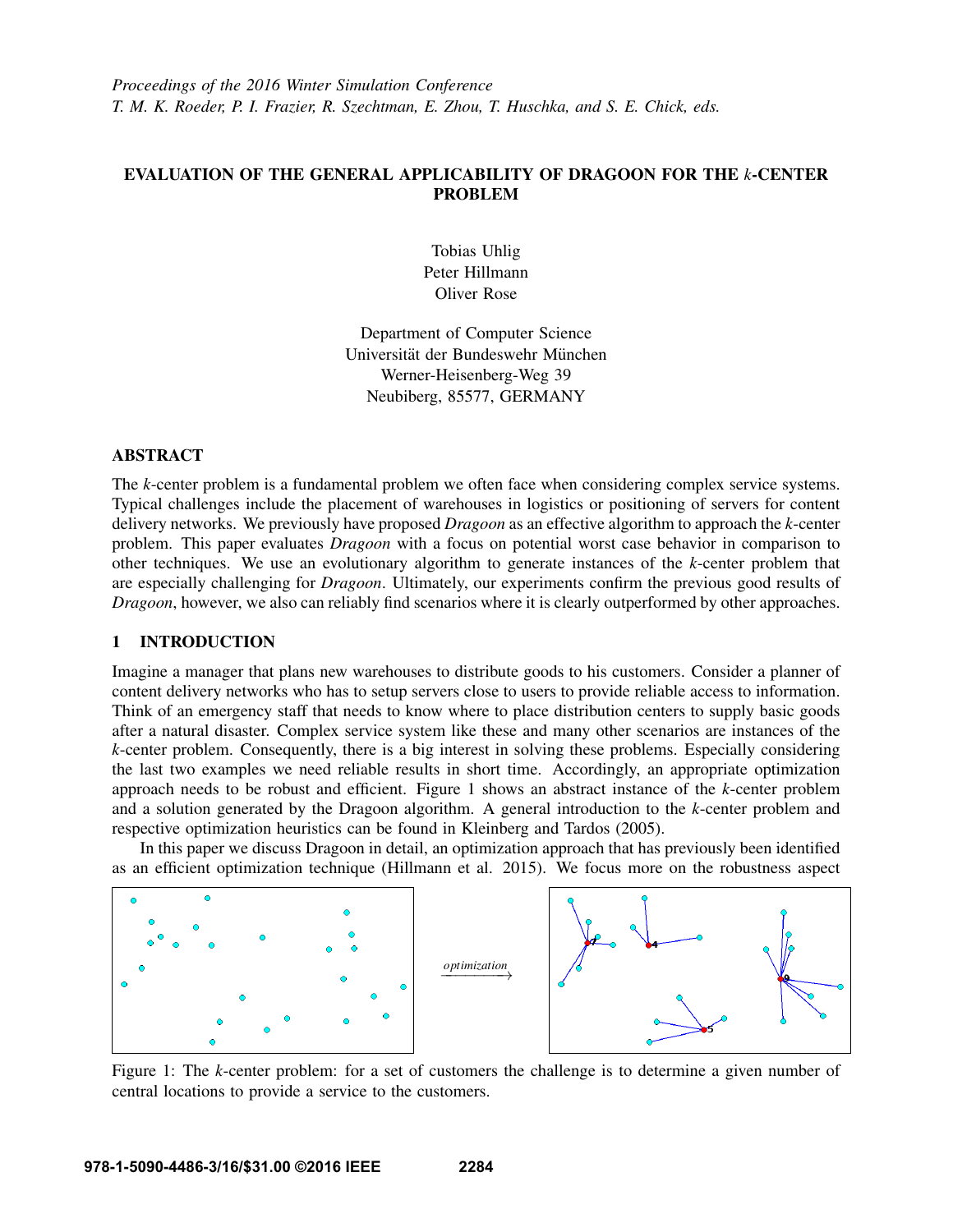# EVALUATION OF THE GENERAL APPLICABILITY OF DRAGOON FOR THE *k*-CENTER PROBLEM

Tobias Uhlig Peter Hillmann Oliver Rose

Department of Computer Science Universität der Bundeswehr München Werner-Heisenberg-Weg 39 Neubiberg, 85577, GERMANY

## ABSTRACT

The *k*-center problem is a fundamental problem we often face when considering complex service systems. Typical challenges include the placement of warehouses in logistics or positioning of servers for content delivery networks. We previously have proposed *Dragoon* as an effective algorithm to approach the *k*-center problem. This paper evaluates *Dragoon* with a focus on potential worst case behavior in comparison to other techniques. We use an evolutionary algorithm to generate instances of the *k*-center problem that are especially challenging for *Dragoon*. Ultimately, our experiments confirm the previous good results of *Dragoon*, however, we also can reliably find scenarios where it is clearly outperformed by other approaches.

# 1 INTRODUCTION

Imagine a manager that plans new warehouses to distribute goods to his customers. Consider a planner of content delivery networks who has to setup servers close to users to provide reliable access to information. Think of an emergency staff that needs to know where to place distribution centers to supply basic goods after a natural disaster. Complex service system like these and many other scenarios are instances of the *k*-center problem. Consequently, there is a big interest in solving these problems. Especially considering the last two examples we need reliable results in short time. Accordingly, an appropriate optimization approach needs to be robust and efficient. Figure 1 shows an abstract instance of the *k*-center problem and a solution generated by the Dragoon algorithm. A general introduction to the *k*-center problem and respective optimization heuristics can be found in Kleinberg and Tardos (2005).

In this paper we discuss Dragoon in detail, an optimization approach that has previously been identified as an efficient optimization technique (Hillmann et al. 2015). We focus more on the robustness aspect



Figure 1: The *k*-center problem: for a set of customers the challenge is to determine a given number of central locations to provide a service to the customers.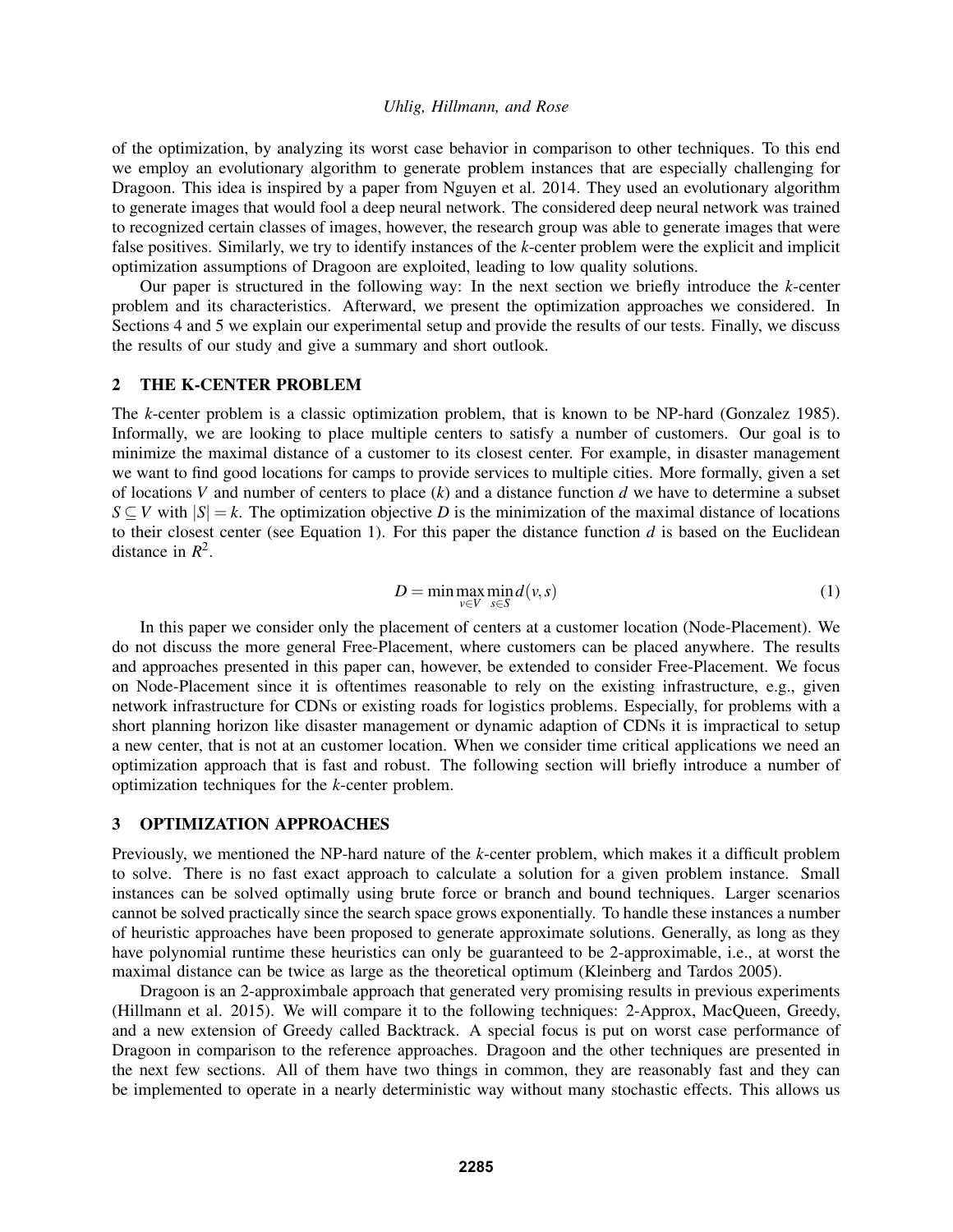of the optimization, by analyzing its worst case behavior in comparison to other techniques. To this end we employ an evolutionary algorithm to generate problem instances that are especially challenging for Dragoon. This idea is inspired by a paper from Nguyen et al. 2014. They used an evolutionary algorithm to generate images that would fool a deep neural network. The considered deep neural network was trained to recognized certain classes of images, however, the research group was able to generate images that were false positives. Similarly, we try to identify instances of the *k*-center problem were the explicit and implicit optimization assumptions of Dragoon are exploited, leading to low quality solutions.

Our paper is structured in the following way: In the next section we briefly introduce the *k*-center problem and its characteristics. Afterward, we present the optimization approaches we considered. In Sections 4 and 5 we explain our experimental setup and provide the results of our tests. Finally, we discuss the results of our study and give a summary and short outlook.

### 2 THE K-CENTER PROBLEM

The *k*-center problem is a classic optimization problem, that is known to be NP-hard (Gonzalez 1985). Informally, we are looking to place multiple centers to satisfy a number of customers. Our goal is to minimize the maximal distance of a customer to its closest center. For example, in disaster management we want to find good locations for camps to provide services to multiple cities. More formally, given a set of locations *V* and number of centers to place  $(k)$  and a distance function  $d$  we have to determine a subset  $S \subset V$  with  $|S| = k$ . The optimization objective *D* is the minimization of the maximal distance of locations to their closest center (see Equation 1). For this paper the distance function  $d$  is based on the Euclidean distance in  $R^2$ .

$$
D = \min \max_{v \in V} \min_{s \in S} d(v, s) \tag{1}
$$

In this paper we consider only the placement of centers at a customer location (Node-Placement). We do not discuss the more general Free-Placement, where customers can be placed anywhere. The results and approaches presented in this paper can, however, be extended to consider Free-Placement. We focus on Node-Placement since it is oftentimes reasonable to rely on the existing infrastructure, e.g., given network infrastructure for CDNs or existing roads for logistics problems. Especially, for problems with a short planning horizon like disaster management or dynamic adaption of CDNs it is impractical to setup a new center, that is not at an customer location. When we consider time critical applications we need an optimization approach that is fast and robust. The following section will briefly introduce a number of optimization techniques for the *k*-center problem.

#### 3 OPTIMIZATION APPROACHES

Previously, we mentioned the NP-hard nature of the *k*-center problem, which makes it a difficult problem to solve. There is no fast exact approach to calculate a solution for a given problem instance. Small instances can be solved optimally using brute force or branch and bound techniques. Larger scenarios cannot be solved practically since the search space grows exponentially. To handle these instances a number of heuristic approaches have been proposed to generate approximate solutions. Generally, as long as they have polynomial runtime these heuristics can only be guaranteed to be 2-approximable, i.e., at worst the maximal distance can be twice as large as the theoretical optimum (Kleinberg and Tardos 2005).

Dragoon is an 2-approximbale approach that generated very promising results in previous experiments (Hillmann et al. 2015). We will compare it to the following techniques: 2-Approx, MacQueen, Greedy, and a new extension of Greedy called Backtrack. A special focus is put on worst case performance of Dragoon in comparison to the reference approaches. Dragoon and the other techniques are presented in the next few sections. All of them have two things in common, they are reasonably fast and they can be implemented to operate in a nearly deterministic way without many stochastic effects. This allows us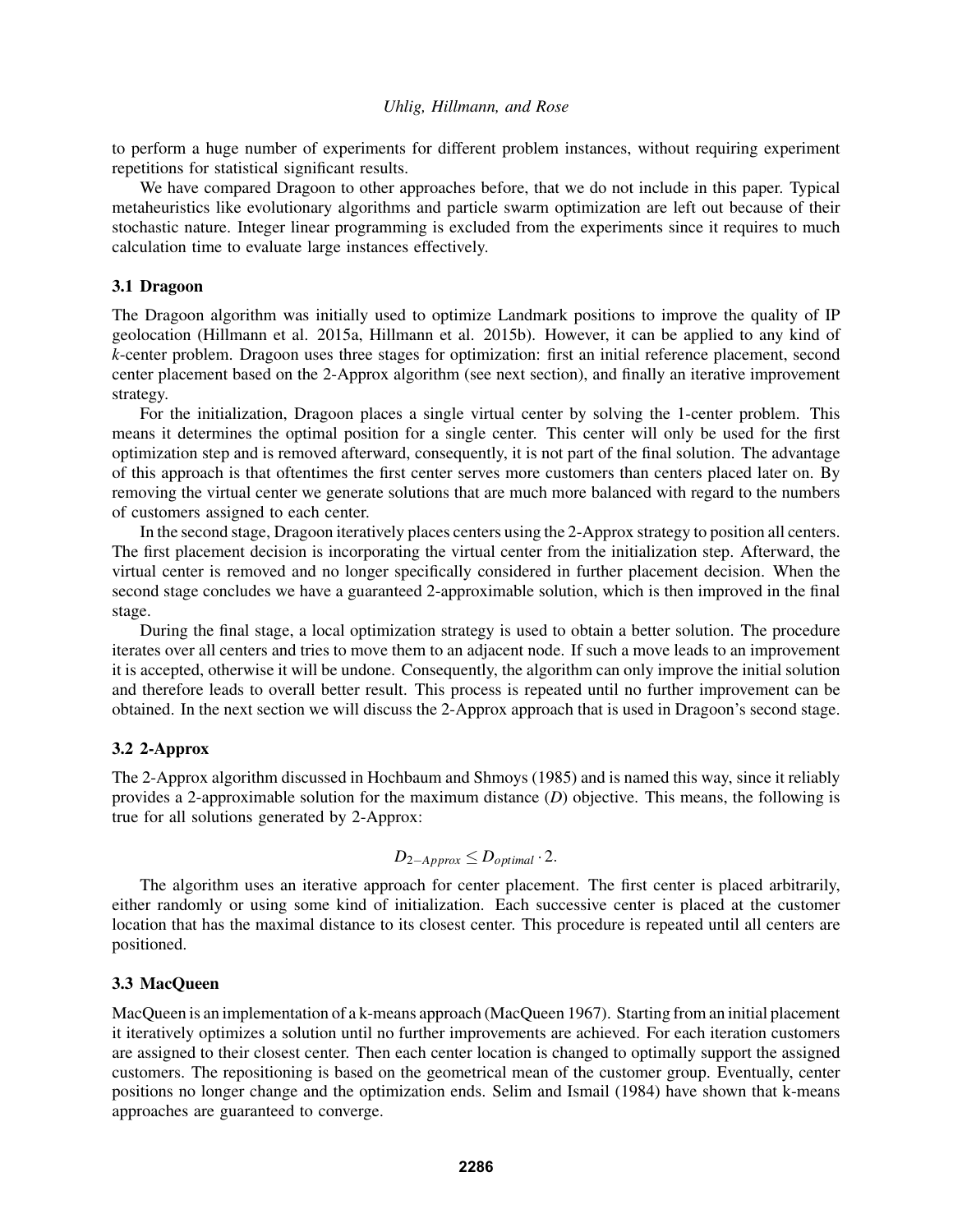to perform a huge number of experiments for different problem instances, without requiring experiment repetitions for statistical significant results.

We have compared Dragoon to other approaches before, that we do not include in this paper. Typical metaheuristics like evolutionary algorithms and particle swarm optimization are left out because of their stochastic nature. Integer linear programming is excluded from the experiments since it requires to much calculation time to evaluate large instances effectively.

#### 3.1 Dragoon

The Dragoon algorithm was initially used to optimize Landmark positions to improve the quality of IP geolocation (Hillmann et al. 2015a, Hillmann et al. 2015b). However, it can be applied to any kind of *k*-center problem. Dragoon uses three stages for optimization: first an initial reference placement, second center placement based on the 2-Approx algorithm (see next section), and finally an iterative improvement strategy.

For the initialization, Dragoon places a single virtual center by solving the 1-center problem. This means it determines the optimal position for a single center. This center will only be used for the first optimization step and is removed afterward, consequently, it is not part of the final solution. The advantage of this approach is that oftentimes the first center serves more customers than centers placed later on. By removing the virtual center we generate solutions that are much more balanced with regard to the numbers of customers assigned to each center.

In the second stage, Dragoon iteratively places centers using the 2-Approx strategy to position all centers. The first placement decision is incorporating the virtual center from the initialization step. Afterward, the virtual center is removed and no longer specifically considered in further placement decision. When the second stage concludes we have a guaranteed 2-approximable solution, which is then improved in the final stage.

During the final stage, a local optimization strategy is used to obtain a better solution. The procedure iterates over all centers and tries to move them to an adjacent node. If such a move leads to an improvement it is accepted, otherwise it will be undone. Consequently, the algorithm can only improve the initial solution and therefore leads to overall better result. This process is repeated until no further improvement can be obtained. In the next section we will discuss the 2-Approx approach that is used in Dragoon's second stage.

#### 3.2 2-Approx

The 2-Approx algorithm discussed in Hochbaum and Shmoys (1985) and is named this way, since it reliably provides a 2-approximable solution for the maximum distance (*D*) objective. This means, the following is true for all solutions generated by 2-Approx:

$$
D_{2-Approx} \leq D_{optimal} \cdot 2.
$$

The algorithm uses an iterative approach for center placement. The first center is placed arbitrarily, either randomly or using some kind of initialization. Each successive center is placed at the customer location that has the maximal distance to its closest center. This procedure is repeated until all centers are positioned.

#### 3.3 MacQueen

MacQueen is an implementation of a k-means approach (MacQueen 1967). Starting from an initial placement it iteratively optimizes a solution until no further improvements are achieved. For each iteration customers are assigned to their closest center. Then each center location is changed to optimally support the assigned customers. The repositioning is based on the geometrical mean of the customer group. Eventually, center positions no longer change and the optimization ends. Selim and Ismail (1984) have shown that k-means approaches are guaranteed to converge.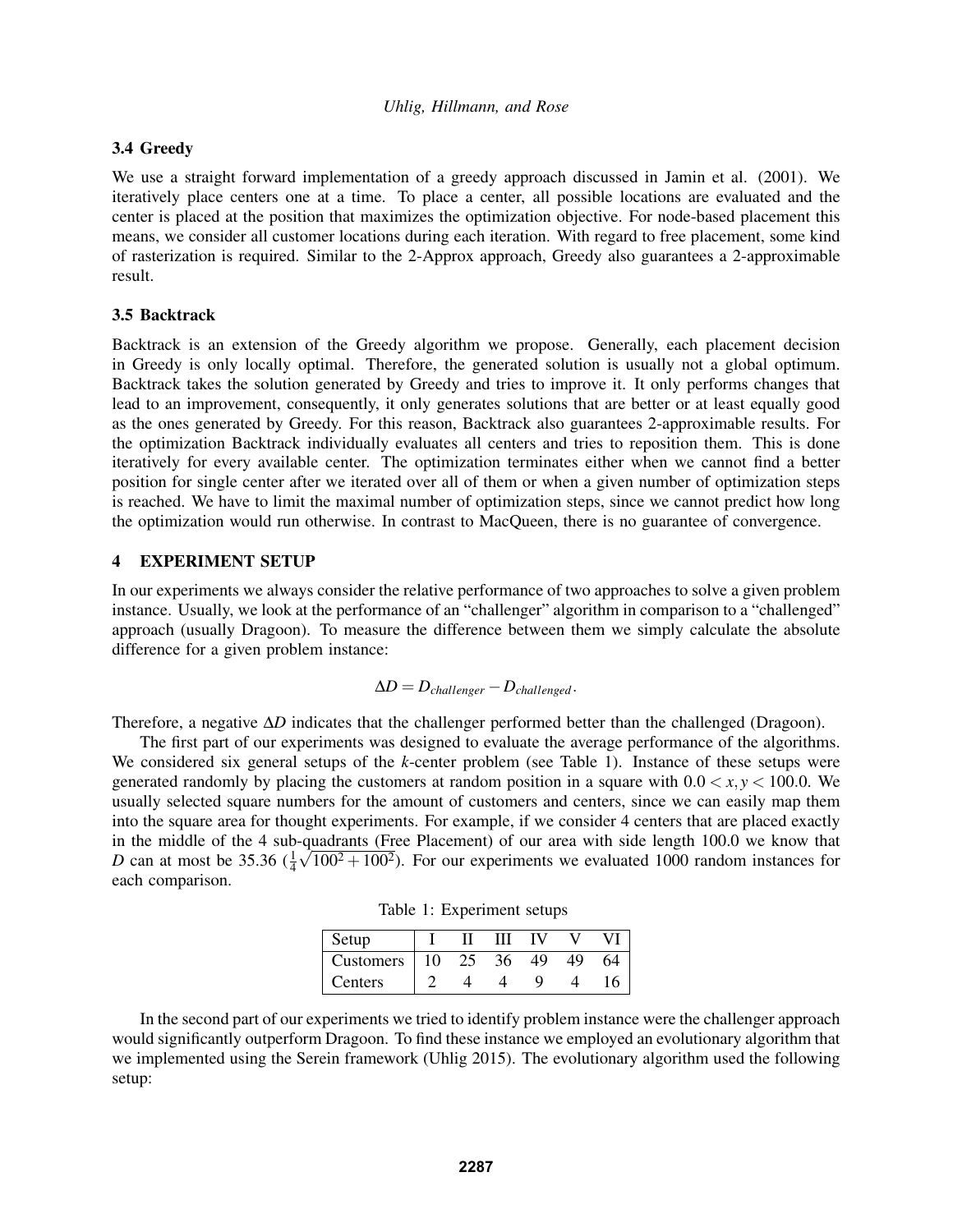## 3.4 Greedy

We use a straight forward implementation of a greedy approach discussed in Jamin et al. (2001). We iteratively place centers one at a time. To place a center, all possible locations are evaluated and the center is placed at the position that maximizes the optimization objective. For node-based placement this means, we consider all customer locations during each iteration. With regard to free placement, some kind of rasterization is required. Similar to the 2-Approx approach, Greedy also guarantees a 2-approximable result.

## 3.5 Backtrack

Backtrack is an extension of the Greedy algorithm we propose. Generally, each placement decision in Greedy is only locally optimal. Therefore, the generated solution is usually not a global optimum. Backtrack takes the solution generated by Greedy and tries to improve it. It only performs changes that lead to an improvement, consequently, it only generates solutions that are better or at least equally good as the ones generated by Greedy. For this reason, Backtrack also guarantees 2-approximable results. For the optimization Backtrack individually evaluates all centers and tries to reposition them. This is done iteratively for every available center. The optimization terminates either when we cannot find a better position for single center after we iterated over all of them or when a given number of optimization steps is reached. We have to limit the maximal number of optimization steps, since we cannot predict how long the optimization would run otherwise. In contrast to MacQueen, there is no guarantee of convergence.

# 4 EXPERIMENT SETUP

In our experiments we always consider the relative performance of two approaches to solve a given problem instance. Usually, we look at the performance of an "challenger" algorithm in comparison to a "challenged" approach (usually Dragoon). To measure the difference between them we simply calculate the absolute difference for a given problem instance:

# $\Delta D = D_{challenger} - D_{challened}$ .

Therefore, a negative ∆*D* indicates that the challenger performed better than the challenged (Dragoon).

The first part of our experiments was designed to evaluate the average performance of the algorithms. We considered six general setups of the *k*-center problem (see Table 1). Instance of these setups were generated randomly by placing the customers at random position in a square with  $0.0 < x, y < 100.0$ . We usually selected square numbers for the amount of customers and centers, since we can easily map them into the square area for thought experiments. For example, if we consider 4 centers that are placed exactly in the middle of the 4 sub-quadrants (Free Placement) of our area with side length 100.0 we know that *D* can at most be 35.36  $(\frac{1}{4}\sqrt{100^2 + 100^2})$ . For our experiments we evaluated 1000 random instances for each comparison.

|  | Table 1: Experiment setups |  |
|--|----------------------------|--|
|--|----------------------------|--|

| Setup     |      |    | ш  | IV |    |    |
|-----------|------|----|----|----|----|----|
| Customers | - 10 | 25 | 36 | 49 | 49 | 64 |
| Centers   |      |    |    |    |    | ١h |

In the second part of our experiments we tried to identify problem instance were the challenger approach would significantly outperform Dragoon. To find these instance we employed an evolutionary algorithm that we implemented using the Serein framework (Uhlig 2015). The evolutionary algorithm used the following setup: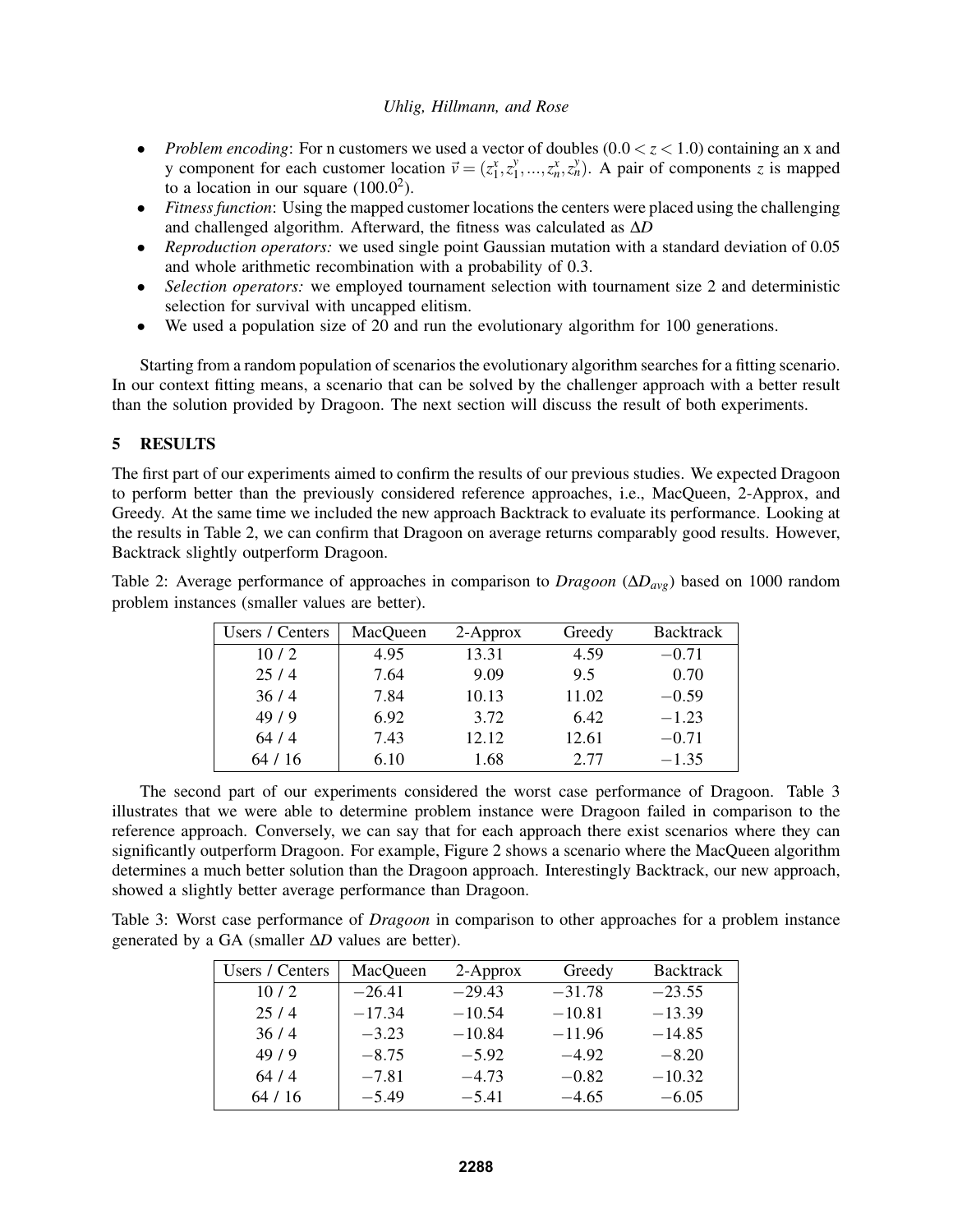- *Problem encoding*: For n customers we used a vector of doubles  $(0.0 < z < 1.0)$  containing an x and y component for each customer location  $\vec{v} = (z_1^x, z_1^y)$  $x_1^y, \ldots, z_n^x, z_n^y$ . A pair of components *z* is mapped to a location in our square  $(100.0^2)$ .
- *Fitness function*: Using the mapped customer locations the centers were placed using the challenging and challenged algorithm. Afterward, the fitness was calculated as ∆*D*
- *Reproduction operators:* we used single point Gaussian mutation with a standard deviation of 0.05 and whole arithmetic recombination with a probability of 0.3.
- *Selection operators:* we employed tournament selection with tournament size 2 and deterministic selection for survival with uncapped elitism.
- We used a population size of 20 and run the evolutionary algorithm for 100 generations.

Starting from a random population of scenarios the evolutionary algorithm searches for a fitting scenario. In our context fitting means, a scenario that can be solved by the challenger approach with a better result than the solution provided by Dragoon. The next section will discuss the result of both experiments.

# 5 RESULTS

The first part of our experiments aimed to confirm the results of our previous studies. We expected Dragoon to perform better than the previously considered reference approaches, i.e., MacQueen, 2-Approx, and Greedy. At the same time we included the new approach Backtrack to evaluate its performance. Looking at the results in Table 2, we can confirm that Dragoon on average returns comparably good results. However, Backtrack slightly outperform Dragoon.

Table 2: Average performance of approaches in comparison to *Dragoon* (∆*Davg*) based on 1000 random problem instances (smaller values are better).

| Users / Centers | MacQueen | $2$ -Approx | Greedy | <b>Backtrack</b> |
|-----------------|----------|-------------|--------|------------------|
| 10/2            | 4.95     | 13.31       | 4.59   | $-0.71$          |
| 25/4            | 7.64     | 9.09        | 9.5    | 0.70             |
| 36/4            | 7.84     | 10.13       | 11.02  | $-0.59$          |
| 49/9            | 6.92     | 3.72        | 6.42   | $-1.23$          |
| 64/4            | 7.43     | 12.12       | 12.61  | $-0.71$          |
| 64 / 16         | 6.10     | 1.68        | 2.77   | $-1.35$          |

The second part of our experiments considered the worst case performance of Dragoon. Table 3 illustrates that we were able to determine problem instance were Dragoon failed in comparison to the reference approach. Conversely, we can say that for each approach there exist scenarios where they can significantly outperform Dragoon. For example, Figure 2 shows a scenario where the MacQueen algorithm determines a much better solution than the Dragoon approach. Interestingly Backtrack, our new approach, showed a slightly better average performance than Dragoon.

Table 3: Worst case performance of *Dragoon* in comparison to other approaches for a problem instance generated by a GA (smaller ∆*D* values are better).

| Users / Centers | MacQueen | $2$ -Approx | Greedy   | <b>Backtrack</b> |
|-----------------|----------|-------------|----------|------------------|
| 10/2            | $-26.41$ | $-29.43$    | $-31.78$ | $-23.55$         |
| 25/4            | $-17.34$ | $-10.54$    | $-10.81$ | $-13.39$         |
| 36/4            | $-3.23$  | $-10.84$    | $-11.96$ | $-14.85$         |
| 49/9            | $-8.75$  | $-5.92$     | $-4.92$  | $-8.20$          |
| 64/4            | $-7.81$  | $-4.73$     | $-0.82$  | $-10.32$         |
| 64/16           | $-5.49$  | $-5.41$     | $-4.65$  | $-6.05$          |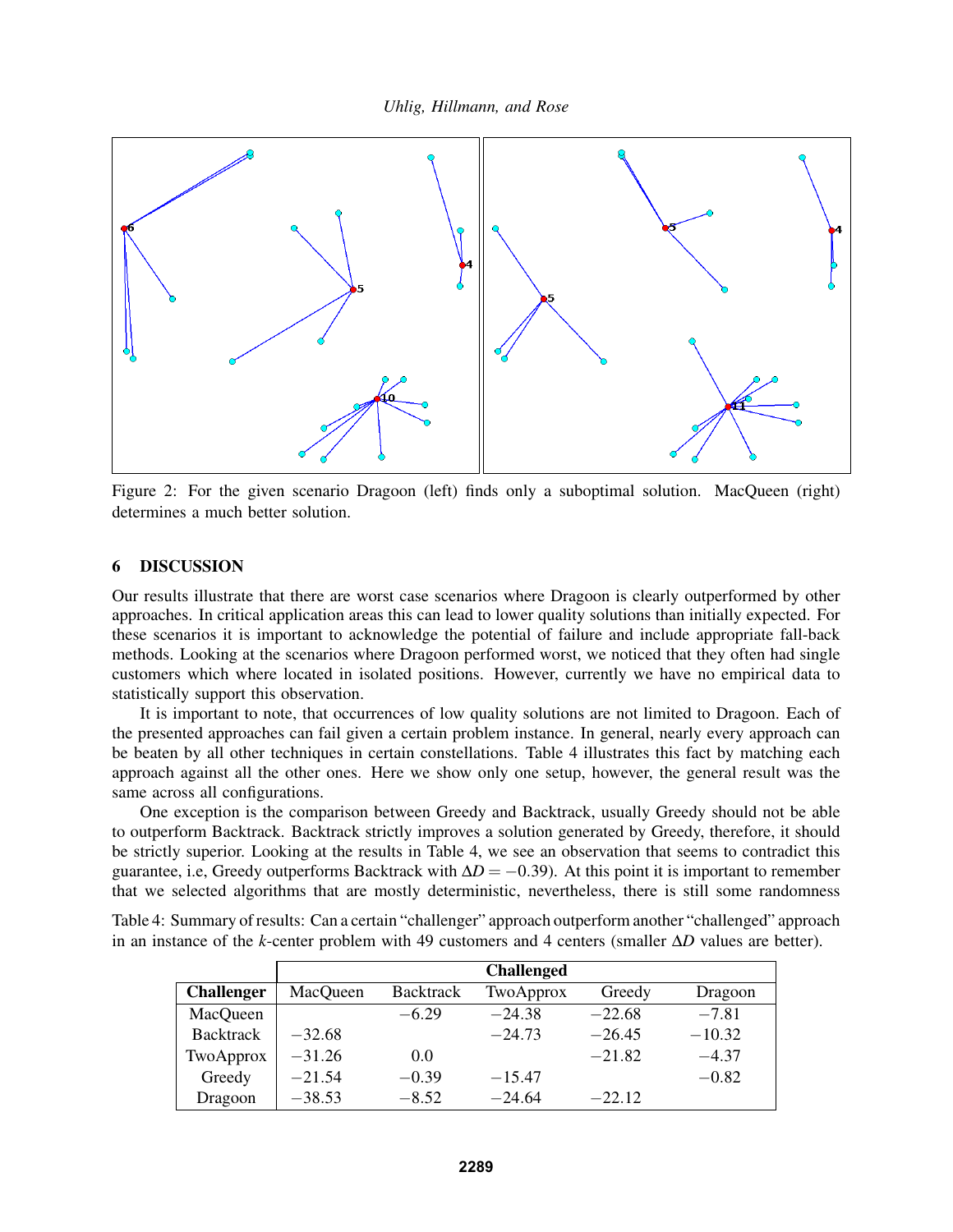

Figure 2: For the given scenario Dragoon (left) finds only a suboptimal solution. MacQueen (right) determines a much better solution.

### 6 DISCUSSION

Our results illustrate that there are worst case scenarios where Dragoon is clearly outperformed by other approaches. In critical application areas this can lead to lower quality solutions than initially expected. For these scenarios it is important to acknowledge the potential of failure and include appropriate fall-back methods. Looking at the scenarios where Dragoon performed worst, we noticed that they often had single customers which where located in isolated positions. However, currently we have no empirical data to statistically support this observation.

It is important to note, that occurrences of low quality solutions are not limited to Dragoon. Each of the presented approaches can fail given a certain problem instance. In general, nearly every approach can be beaten by all other techniques in certain constellations. Table 4 illustrates this fact by matching each approach against all the other ones. Here we show only one setup, however, the general result was the same across all configurations.

One exception is the comparison between Greedy and Backtrack, usually Greedy should not be able to outperform Backtrack. Backtrack strictly improves a solution generated by Greedy, therefore, it should be strictly superior. Looking at the results in Table 4, we see an observation that seems to contradict this guarantee, i.e, Greedy outperforms Backtrack with ∆*D* = −0.39). At this point it is important to remember that we selected algorithms that are mostly deterministic, nevertheless, there is still some randomness

Table 4: Summary of results: Can a certain "challenger" approach outperform another "challenged" approach in an instance of the *k*-center problem with 49 customers and 4 centers (smaller ∆*D* values are better).

|                   | <b>Challenged</b> |                  |           |          |          |  |
|-------------------|-------------------|------------------|-----------|----------|----------|--|
| <b>Challenger</b> | MacQueen          | <b>Backtrack</b> | TwoApprox | Greedy   | Dragoon  |  |
| MacQueen          |                   | $-6.29$          | $-24.38$  | $-22.68$ | $-7.81$  |  |
| <b>Backtrack</b>  | $-32.68$          |                  | $-24.73$  | $-26.45$ | $-10.32$ |  |
| TwoApprox         | $-31.26$          | 0.0              |           | $-21.82$ | $-4.37$  |  |
| Greedy            | $-21.54$          | $-0.39$          | $-15.47$  |          | $-0.82$  |  |
| Dragoon           | $-38.53$          | $-8.52$          | $-24.64$  | $-22.12$ |          |  |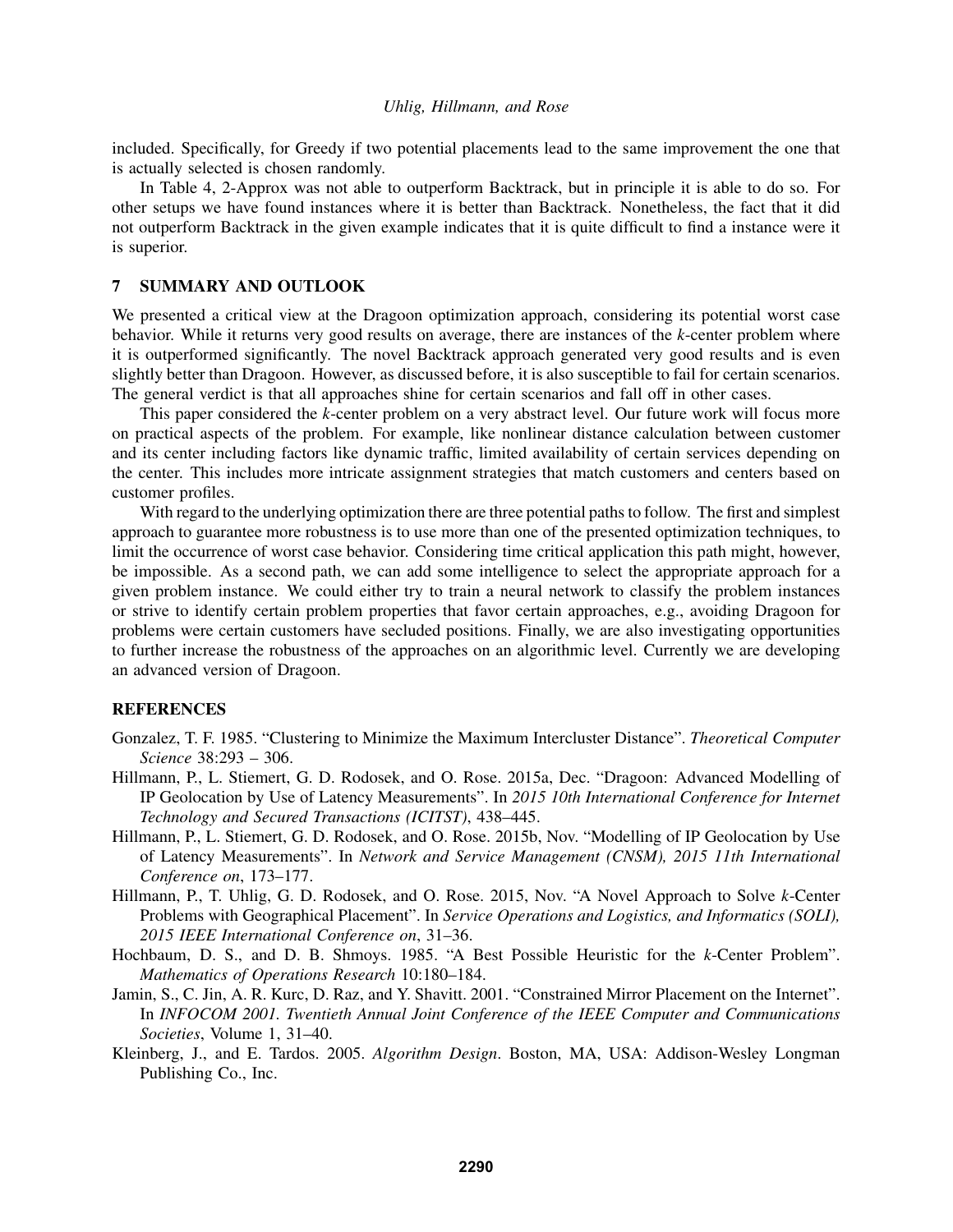included. Specifically, for Greedy if two potential placements lead to the same improvement the one that is actually selected is chosen randomly.

In Table 4, 2-Approx was not able to outperform Backtrack, but in principle it is able to do so. For other setups we have found instances where it is better than Backtrack. Nonetheless, the fact that it did not outperform Backtrack in the given example indicates that it is quite difficult to find a instance were it is superior.

## 7 SUMMARY AND OUTLOOK

We presented a critical view at the Dragoon optimization approach, considering its potential worst case behavior. While it returns very good results on average, there are instances of the *k*-center problem where it is outperformed significantly. The novel Backtrack approach generated very good results and is even slightly better than Dragoon. However, as discussed before, it is also susceptible to fail for certain scenarios. The general verdict is that all approaches shine for certain scenarios and fall off in other cases.

This paper considered the *k*-center problem on a very abstract level. Our future work will focus more on practical aspects of the problem. For example, like nonlinear distance calculation between customer and its center including factors like dynamic traffic, limited availability of certain services depending on the center. This includes more intricate assignment strategies that match customers and centers based on customer profiles.

With regard to the underlying optimization there are three potential paths to follow. The first and simplest approach to guarantee more robustness is to use more than one of the presented optimization techniques, to limit the occurrence of worst case behavior. Considering time critical application this path might, however, be impossible. As a second path, we can add some intelligence to select the appropriate approach for a given problem instance. We could either try to train a neural network to classify the problem instances or strive to identify certain problem properties that favor certain approaches, e.g., avoiding Dragoon for problems were certain customers have secluded positions. Finally, we are also investigating opportunities to further increase the robustness of the approaches on an algorithmic level. Currently we are developing an advanced version of Dragoon.

#### **REFERENCES**

- Gonzalez, T. F. 1985. "Clustering to Minimize the Maximum Intercluster Distance". *Theoretical Computer Science* 38:293 – 306.
- Hillmann, P., L. Stiemert, G. D. Rodosek, and O. Rose. 2015a, Dec. "Dragoon: Advanced Modelling of IP Geolocation by Use of Latency Measurements". In *2015 10th International Conference for Internet Technology and Secured Transactions (ICITST)*, 438–445.
- Hillmann, P., L. Stiemert, G. D. Rodosek, and O. Rose. 2015b, Nov. "Modelling of IP Geolocation by Use of Latency Measurements". In *Network and Service Management (CNSM), 2015 11th International Conference on*, 173–177.
- Hillmann, P., T. Uhlig, G. D. Rodosek, and O. Rose. 2015, Nov. "A Novel Approach to Solve *k*-Center Problems with Geographical Placement". In *Service Operations and Logistics, and Informatics (SOLI), 2015 IEEE International Conference on*, 31–36.
- Hochbaum, D. S., and D. B. Shmoys. 1985. "A Best Possible Heuristic for the *k*-Center Problem". *Mathematics of Operations Research* 10:180–184.
- Jamin, S., C. Jin, A. R. Kurc, D. Raz, and Y. Shavitt. 2001. "Constrained Mirror Placement on the Internet". In *INFOCOM 2001. Twentieth Annual Joint Conference of the IEEE Computer and Communications Societies*, Volume 1, 31–40.
- Kleinberg, J., and E. Tardos. 2005. *Algorithm Design*. Boston, MA, USA: Addison-Wesley Longman Publishing Co., Inc.